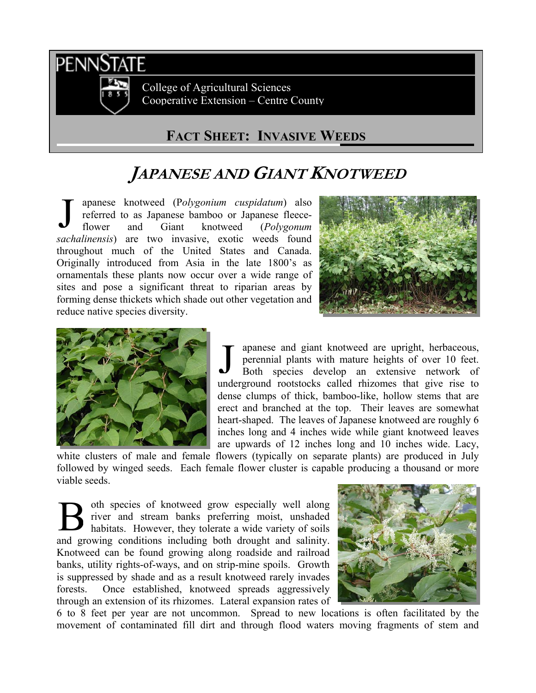

College of Agricultural Sciences Cooperative Extension – Centre County

## **FACT SHEET: INVASIVE WEEDS**

## **JAPANESE AND GIANT KNOTWEED**

apanese knotweed (P*olygonium cuspidatum*) also referred to as Japanese bamboo or Japanese fleeceflower and Giant knotweed (*Polygonum sachalinensis*) are two invasive, exotic weeds found throughout much of the United States and Canada. Originally introduced from Asia in the late 1800's as ornamentals these plants now occur over a wide range of sites and pose a significant threat to riparian areas by forming dense thickets which shade out other vegetation and reduce native species diversity. J





apanese and giant knotweed are upright, herbaceous, perennial plants with mature heights of over 10 feet. Both species develop an extensive network of underground rootstocks called rhizomes that give rise to dense clumps of thick, bamboo-like, hollow stems that are erect and branched at the top. Their leaves are somewhat heart-shaped. The leaves of Japanese knotweed are roughly 6 inches long and 4 inches wide while giant knotweed leaves are upwards of 12 inches long and 10 inches wide. Lacy, J

white clusters of male and female flowers (typically on separate plants) are produced in July followed by winged seeds. Each female flower cluster is capable producing a thousand or more viable seeds.

oth species of knotweed grow especially well along river and stream banks preferring moist, unshaded habitats. However, they tolerate a wide variety of soils and growing conditions including both drought and salinity. Knotweed can be found growing along roadside and railroad banks, utility rights-of-ways, and on strip-mine spoils. Growth is suppressed by shade and as a result knotweed rarely invades forests. Once established, knotweed spreads aggressively through an extension of its rhizomes. Lateral expansion rates of B



6 to 8 feet per year are not uncommon. Spread to new locations is often facilitated by the movement of contaminated fill dirt and through flood waters moving fragments of stem and